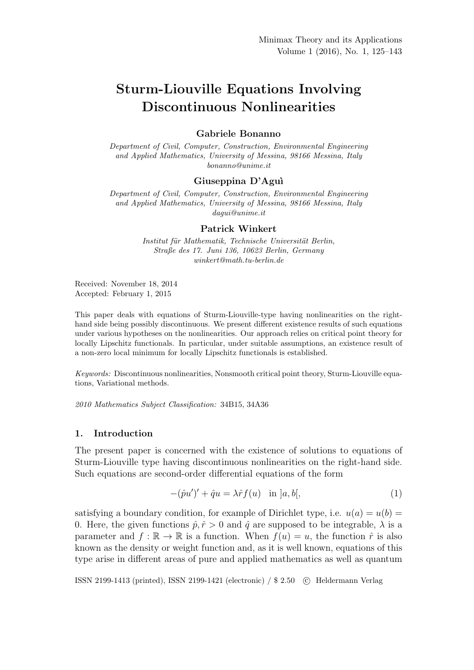# Sturm-Liouville Equations Involving Discontinuous Nonlinearities

## Gabriele Bonanno

Department of Civil, Computer, Construction, Environmental Engineering and Applied Mathematics, University of Messina, 98166 Messina, Italy bonanno@unime.it

## Giuseppina D'Aguì

Department of Civil, Computer, Construction, Environmental Engineering and Applied Mathematics, University of Messina, 98166 Messina, Italy dagui@unime.it

#### Patrick Winkert

Institut für Mathematik, Technische Universität Berlin, Straße des 17. Juni 136, 10623 Berlin, Germany winkert@math.tu-berlin.de

Received: November 18, 2014 Accepted: February 1, 2015

This paper deals with equations of Sturm-Liouville-type having nonlinearities on the righthand side being possibly discontinuous. We present different existence results of such equations under various hypotheses on the nonlinearities. Our approach relies on critical point theory for locally Lipschitz functionals. In particular, under suitable assumptions, an existence result of a non-zero local minimum for locally Lipschitz functionals is established.

Keywords: Discontinuous nonlinearities, Nonsmooth critical point theory, Sturm-Liouville equations, Variational methods.

2010 Mathematics Subject Classification: 34B15, 34A36

## 1. Introduction

The present paper is concerned with the existence of solutions to equations of Sturm-Liouville type having discontinuous nonlinearities on the right-hand side. Such equations are second-order differential equations of the form

$$
-(\hat{p}u')' + \hat{q}u = \lambda \hat{r}f(u) \quad \text{in } ]a, b[, \tag{1}
$$

satisfying a boundary condition, for example of Dirichlet type, i.e.  $u(a) = u(b) =$ 0. Here, the given functions  $\hat{p}, \hat{r} > 0$  and  $\hat{q}$  are supposed to be integrable,  $\lambda$  is a parameter and  $f : \mathbb{R} \to \mathbb{R}$  is a function. When  $f(u) = u$ , the function  $\hat{r}$  is also known as the density or weight function and, as it is well known, equations of this type arise in different areas of pure and applied mathematics as well as quantum

ISSN 2199-1413 (printed), ISSN 2199-1421 (electronic) / \$ 2.50 c Heldermann Verlag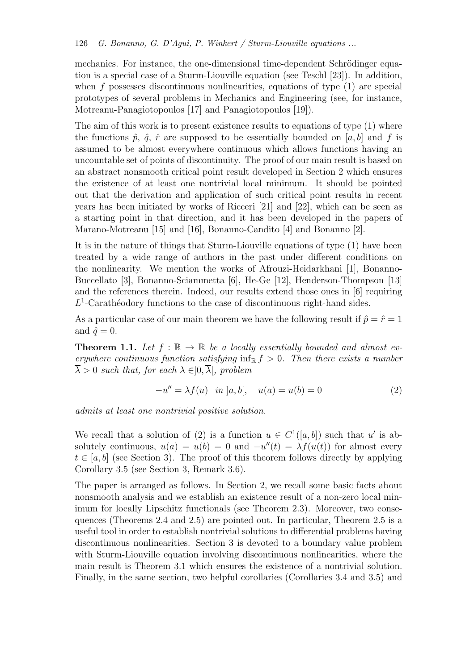mechanics. For instance, the one-dimensional time-dependent Schrödinger equation is a special case of a Sturm-Liouville equation (see Teschl [23]). In addition, when f possesses discontinuous nonlinearities, equations of type  $(1)$  are special prototypes of several problems in Mechanics and Engineering (see, for instance, Motreanu-Panagiotopoulos [17] and Panagiotopoulos [19]).

The aim of this work is to present existence results to equations of type (1) where the functions  $\hat{p}, \hat{q}, \hat{r}$  are supposed to be essentially bounded on [a, b] and f is assumed to be almost everywhere continuous which allows functions having an uncountable set of points of discontinuity. The proof of our main result is based on an abstract nonsmooth critical point result developed in Section 2 which ensures the existence of at least one nontrivial local minimum. It should be pointed out that the derivation and application of such critical point results in recent years has been initiated by works of Ricceri [21] and [22], which can be seen as a starting point in that direction, and it has been developed in the papers of Marano-Motreanu [15] and [16], Bonanno-Candito [4] and Bonanno [2].

It is in the nature of things that Sturm-Liouville equations of type (1) have been treated by a wide range of authors in the past under different conditions on the nonlinearity. We mention the works of Afrouzi-Heidarkhani [1], Bonanno-Buccellato [3], Bonanno-Sciammetta [6], He-Ge [12], Henderson-Thompson [13] and the references therein. Indeed, our results extend those ones in [6] requiring  $L^1$ -Carathéodory functions to the case of discontinuous right-hand sides.

As a particular case of our main theorem we have the following result if  $\hat{p} = \hat{r} = 1$ and  $\hat{q} = 0$ .

**Theorem 1.1.** Let  $f : \mathbb{R} \to \mathbb{R}$  be a locally essentially bounded and almost everywhere continuous function satisfying  $\inf_{\mathbb{R}} f > 0$ . Then there exists a number  $\overline{\lambda} > 0$  such that, for each  $\lambda \in ]0, \overline{\lambda}]$ , problem

$$
-u'' = \lambda f(u) \quad in \ ]a, b[, \quad u(a) = u(b) = 0 \tag{2}
$$

admits at least one nontrivial positive solution.

We recall that a solution of (2) is a function  $u \in C^1([a, b])$  such that u' is absolutely continuous,  $u(a) = u(b) = 0$  and  $-u''(t) = \lambda f(u(t))$  for almost every  $t \in [a, b]$  (see Section 3). The proof of this theorem follows directly by applying Corollary 3.5 (see Section 3, Remark 3.6).

The paper is arranged as follows. In Section 2, we recall some basic facts about nonsmooth analysis and we establish an existence result of a non-zero local minimum for locally Lipschitz functionals (see Theorem 2.3). Moreover, two consequences (Theorems 2.4 and 2.5) are pointed out. In particular, Theorem 2.5 is a useful tool in order to establish nontrivial solutions to differential problems having discontinuous nonlinearities. Section 3 is devoted to a boundary value problem with Sturm-Liouville equation involving discontinuous nonlinearities, where the main result is Theorem 3.1 which ensures the existence of a nontrivial solution. Finally, in the same section, two helpful corollaries (Corollaries 3.4 and 3.5) and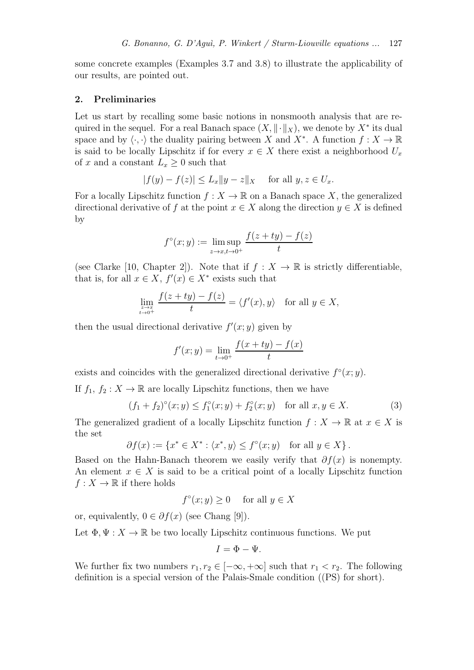some concrete examples (Examples 3.7 and 3.8) to illustrate the applicability of our results, are pointed out.

## 2. Preliminaries

Let us start by recalling some basic notions in nonsmooth analysis that are required in the sequel. For a real Banach space  $(X, \|\cdot\|_X)$ , we denote by  $X^*$  its dual space and by  $\langle \cdot, \cdot \rangle$  the duality pairing between X and X<sup>∗</sup>. A function  $f : X \to \mathbb{R}$ is said to be locally Lipschitz if for every  $x \in X$  there exist a neighborhood  $U_x$ of x and a constant  $L_x \geq 0$  such that

$$
|f(y) - f(z)| \le L_x \|y - z\|_X \quad \text{ for all } y, z \in U_x.
$$

For a locally Lipschitz function  $f: X \to \mathbb{R}$  on a Banach space X, the generalized directional derivative of f at the point  $x \in X$  along the direction  $y \in X$  is defined by

$$
f^{\circ}(x; y) := \limsup_{z \to x, t \to 0^+} \frac{f(z + ty) - f(z)}{t}
$$

(see Clarke [10, Chapter 2]). Note that if  $f: X \to \mathbb{R}$  is strictly differentiable, that is, for all  $x \in X$ ,  $f'(x) \in X^*$  exists such that

$$
\lim_{\substack{z \to x \\ t \to 0^+}} \frac{f(z + ty) - f(z)}{t} = \langle f'(x), y \rangle \quad \text{for all } y \in X,
$$

then the usual directional derivative  $f'(x; y)$  given by

$$
f'(x; y) = \lim_{t \to 0^+} \frac{f(x + ty) - f(x)}{t}
$$

exists and coincides with the generalized directional derivative  $f^{\circ}(x; y)$ .

If  $f_1, f_2 : X \to \mathbb{R}$  are locally Lipschitz functions, then we have

$$
(f_1 + f_2)^{\circ}(x; y) \le f_1^{\circ}(x; y) + f_2^{\circ}(x; y) \quad \text{for all } x, y \in X. \tag{3}
$$

The generalized gradient of a locally Lipschitz function  $f: X \to \mathbb{R}$  at  $x \in X$  is the set

$$
\partial f(x) := \{ x^* \in X^* : \langle x^*, y \rangle \le f^{\circ}(x; y) \text{ for all } y \in X \}.
$$

Based on the Hahn-Banach theorem we easily verify that  $\partial f(x)$  is nonempty. An element  $x \in X$  is said to be a critical point of a locally Lipschitz function  $f: X \to \mathbb{R}$  if there holds

$$
f^{\circ}(x; y) \ge 0 \quad \text{ for all } y \in X
$$

or, equivalently,  $0 \in \partial f(x)$  (see Chang [9]).

Let  $\Phi, \Psi : X \to \mathbb{R}$  be two locally Lipschitz continuous functions. We put

$$
I=\Phi-\Psi.
$$

We further fix two numbers  $r_1, r_2 \in [-\infty, +\infty]$  such that  $r_1 < r_2$ . The following definition is a special version of the Palais-Smale condition ((PS) for short).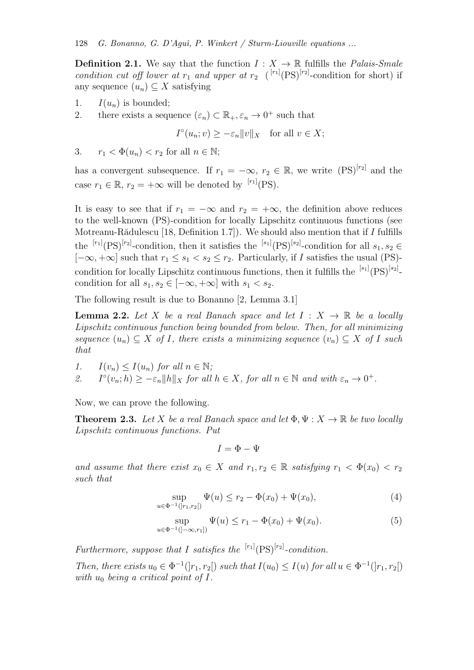**Definition 2.1.** We say that the function  $I: X \to \mathbb{R}$  fulfills the *Palais-Smale* condition cut off lower at  $r_1$  and upper at  $r_2$  ( $\binom{[r_1]}{(PS)^{[r_2]}}$ -condition for short) if any sequence  $(u_n) \subseteq X$  satisfying

- 1.  $I(u_n)$  is bounded;
- 2. there exists a sequence  $(\varepsilon_n) \subset \mathbb{R}_+, \varepsilon_n \to 0^+$  such that

$$
I^{\circ}(u_n; v) \ge -\varepsilon_n \|v\|_X \quad \text{for all } v \in X;
$$

3.  $r_1 < \Phi(u_n) < r_2$  for all  $n \in \mathbb{N}$ ;

has a convergent subsequence. If  $r_1 = -\infty$ ,  $r_2 \in \mathbb{R}$ , we write  $(PS)^{[r_2]}$  and the case  $r_1 \in \mathbb{R}$ ,  $r_2 = +\infty$  will be denoted by <sup>[r<sub>1</sub>]</sup>(PS).

It is easy to see that if  $r_1 = -\infty$  and  $r_2 = +\infty$ , the definition above reduces to the well-known (PS)-condition for locally Lipschitz continuous functions (see Motreanu-Rădulescu [18, Definition 1.7]). We should also mention that if  $I$  fulfills the  ${}^{[r_1]}(PS)^{[r_2]}$ -condition, then it satisfies the  ${}^{[s_1]}(PS)^{[s_2]}$ -condition for all  $s_1, s_2 \in$  $[-\infty, +\infty]$  such that  $r_1 \leq s_1 < s_2 \leq r_2$ . Particularly, if I satisfies the usual (PS)condition for locally Lipschitz continuous functions, then it fulfills the  $[{}^{[s_1]}(PS)^{[s_2]}$ condition for all  $s_1, s_2 \in [-\infty, +\infty]$  with  $s_1 < s_2$ .

The following result is due to Bonanno [2, Lemma 3.1]

**Lemma 2.2.** Let X be a real Banach space and let  $I: X \to \mathbb{R}$  be a locally Lipschitz continuous function being bounded from below. Then, for all minimizing sequence  $(u_n) \subset X$  of I, there exists a minimizing sequence  $(v_n) \subset X$  of I such that

1.  $I(v_n) \leq I(u_n)$  for all  $n \in \mathbb{N}$ ;

2.  $\mathcal{L}^{\circ}(v_n; h) \geq -\varepsilon_n \|h\|_X$  for all  $h \in X$ , for all  $n \in \mathbb{N}$  and with  $\varepsilon_n \to 0^+$ .

Now, we can prove the following.

**Theorem 2.3.** Let X be a real Banach space and let  $\Phi, \Psi: X \to \mathbb{R}$  be two locally Lipschitz continuous functions. Put

$$
I = \Phi - \Psi
$$

and assume that there exist  $x_0 \in X$  and  $r_1, r_2 \in \mathbb{R}$  satisfying  $r_1 < \Phi(x_0) < r_2$ such that

$$
\sup_{u \in \Phi^{-1}(|r_1, r_2|)} \Psi(u) \le r_2 - \Phi(x_0) + \Psi(x_0),\tag{4}
$$

$$
\sup_{u \in \Phi^{-1}(]-\infty, r_1]} \Psi(u) \le r_1 - \Phi(x_0) + \Psi(x_0). \tag{5}
$$

Furthermore, suppose that I satisfies the  $\binom{[r_1]}{[PS]}$ -condition.

Then, there exists  $u_0 \in \Phi^{-1}(|r_1, r_2|)$  such that  $I(u_0) \leq I(u)$  for all  $u \in \Phi^{-1}(|r_1, r_2|)$ with  $u_0$  being a critical point of I.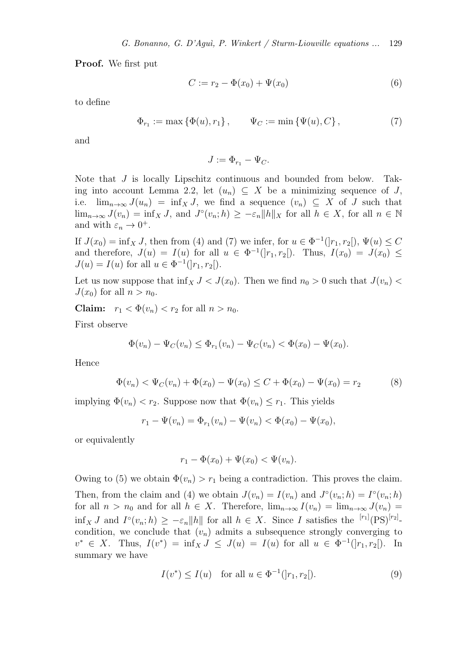Proof. We first put

$$
C := r_2 - \Phi(x_0) + \Psi(x_0)
$$
 (6)

to define

$$
\Phi_{r_1} := \max \{ \Phi(u), r_1 \}, \qquad \Psi_C := \min \{ \Psi(u), C \}, \tag{7}
$$

and

$$
J:=\Phi_{r_1}-\Psi_C.
$$

Note that J is locally Lipschitz continuous and bounded from below. Taking into account Lemma 2.2, let  $(u_n) \subseteq X$  be a minimizing sequence of J, i.e.  $\lim_{n\to\infty} J(u_n) = \inf_X J$ , we find a sequence  $(v_n) \subseteq X$  of J such that  $\lim_{n\to\infty} J(v_n) = \inf_X J$ , and  $J^{\circ}(v_n; h) \geq -\varepsilon_n ||h||_X$  for all  $h \in X$ , for all  $n \in \mathbb{N}$ and with  $\varepsilon_n \to 0^+$ .

If  $J(x_0) = \inf_X J$ , then from (4) and (7) we infer, for  $u \in \Phi^{-1}([r_1, r_2])$ ,  $\Psi(u) \leq C$ and therefore,  $J(u) = I(u)$  for all  $u \in \Phi^{-1}(|r_1, r_2|)$ . Thus,  $I(x_0) = J(x_0) \leq$  $J(u) = I(u)$  for all  $u \in \Phi^{-1}(]r_1, r_2[$ .

Let us now suppose that  $\inf_X J < J(x_0)$ . Then we find  $n_0 > 0$  such that  $J(v_n)$  $J(x_0)$  for all  $n > n_0$ .

Claim:  $r_1 < \Phi(v_n) < r_2$  for all  $n > n_0$ .

First observe

$$
\Phi(v_n) - \Psi_C(v_n) \le \Phi_{r_1}(v_n) - \Psi_C(v_n) < \Phi(x_0) - \Psi(x_0).
$$

Hence

$$
\Phi(v_n) < \Psi_C(v_n) + \Phi(x_0) - \Psi(x_0) \le C + \Phi(x_0) - \Psi(x_0) = r_2 \tag{8}
$$

implying  $\Phi(v_n) < r_2$ . Suppose now that  $\Phi(v_n) \leq r_1$ . This yields

$$
r_1 - \Psi(v_n) = \Phi_{r_1}(v_n) - \Psi(v_n) < \Phi(x_0) - \Psi(x_0),
$$

or equivalently

$$
r_1 - \Phi(x_0) + \Psi(x_0) < \Psi(v_n).
$$

Owing to (5) we obtain  $\Phi(v_n) > r_1$  being a contradiction. This proves the claim. Then, from the claim and (4) we obtain  $J(v_n) = I(v_n)$  and  $J^{\circ}(v_n; h) = I^{\circ}(v_n; h)$ for all  $n > n_0$  and for all  $h \in X$ . Therefore,  $\lim_{n\to\infty} I(v_n) = \lim_{n\to\infty} J(v_n)$  $\inf_X J$  and  $I^{\circ}(v_n; h) \geq -\varepsilon_n \|h\|$  for all  $h \in X$ . Since I satisfies the  $[r_1]$  $(PS)^{[r_2]}$ condition, we conclude that  $(v_n)$  admits a subsequence strongly converging to  $v^* \in X$ . Thus,  $I(v^*) = \inf_X J \leq J(u) = I(u)$  for all  $u \in \Phi^{-1}(|r_1, r_2|)$ . In summary we have

$$
I(v^*) \le I(u) \quad \text{for all } u \in \Phi^{-1}(|r_1, r_2|). \tag{9}
$$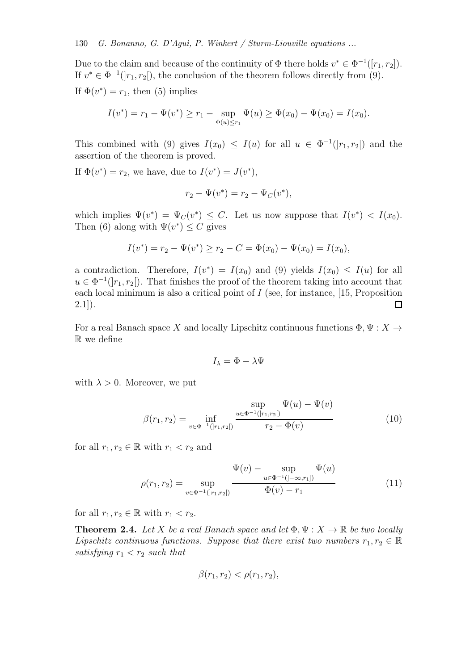Due to the claim and because of the continuity of  $\Phi$  there holds  $v^* \in \Phi^{-1}([r_1, r_2])$ . If  $v^* \in \Phi^{-1}(|r_1, r_2|)$ , the conclusion of the theorem follows directly from (9). If  $\Phi(v^*) = r_1$ , then (5) implies

$$
I(v^*) = r_1 - \Psi(v^*) \ge r_1 - \sup_{\Phi(u) \le r_1} \Psi(u) \ge \Phi(x_0) - \Psi(x_0) = I(x_0).
$$

This combined with (9) gives  $I(x_0) \leq I(u)$  for all  $u \in \Phi^{-1}(|r_1, r_2|)$  and the assertion of the theorem is proved.

If  $\Phi(v^*) = r_2$ , we have, due to  $I(v^*) = J(v^*)$ ,

$$
r_2 - \Psi(v^*) = r_2 - \Psi_C(v^*),
$$

which implies  $\Psi(v^*) = \Psi_C(v^*) \leq C$ . Let us now suppose that  $I(v^*) < I(x_0)$ . Then (6) along with  $\Psi(v^*) \leq C$  gives

$$
I(v^*) = r_2 - \Psi(v^*) \ge r_2 - C = \Phi(x_0) - \Psi(x_0) = I(x_0),
$$

a contradiction. Therefore,  $I(v^*) = I(x_0)$  and (9) yields  $I(x_0) \leq I(u)$  for all  $u \in \Phi^{-1}([r_1, r_2])$ . That finishes the proof of the theorem taking into account that each local minimum is also a critical point of  $I$  (see, for instance, [15, Proposition  $2.1$ ]). 口

For a real Banach space X and locally Lipschitz continuous functions  $\Phi, \Psi : X \to Y$ R we define

$$
I_{\lambda} = \Phi - \lambda \Psi
$$

with  $\lambda > 0$ . Moreover, we put

$$
\beta(r_1, r_2) = \inf_{v \in \Phi^{-1}(|r_1, r_2|)} \frac{\sup_{u \in \Phi^{-1}(|r_1, r_2|)} \Psi(u) - \Psi(v)}{r_2 - \Phi(v)}
$$
(10)

for all  $r_1, r_2 \in \mathbb{R}$  with  $r_1 < r_2$  and

$$
\varphi(r_1, r_2) = \sup_{v \in \Phi^{-1}(|r_1, r_2|)} \frac{\Psi(v) - \sup_{u \in \Phi^{-1}(|-\infty, r_1|)} \Psi(u)}{\Phi(v) - r_1}
$$
(11)

for all  $r_1, r_2 \in \mathbb{R}$  with  $r_1 < r_2$ .

**Theorem 2.4.** Let X be a real Banach space and let  $\Phi, \Psi : X \to \mathbb{R}$  be two locally Lipschitz continuous functions. Suppose that there exist two numbers  $r_1, r_2 \in \mathbb{R}$ satisfying  $r_1 < r_2$  such that

$$
\beta(r_1,r_2) < \rho(r_1,r_2),
$$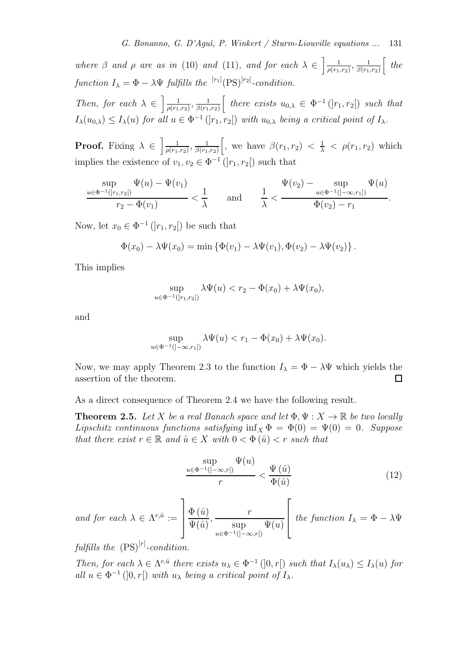where  $\beta$  and  $\rho$  are as in (10) and (11), and for each  $\lambda \in \left[\frac{1}{\rho(r_1)}\right]$  $\frac{1}{\rho(r_1,r_2)}, \frac{1}{\beta(r_1)}$  $\frac{1}{\beta(r_1,r_2)}\left[$  the function  $I_{\lambda} = \Phi - \lambda \Psi$  fulfills the  $\left[ r_1 \right]$  (PS)<sup>[r<sub>2</sub>]</sup>-condition.

Then, for each  $\lambda \in \left[\frac{1}{\rho(r_1)}\right]$  $\frac{1}{\rho(r_1,r_2)}, \frac{1}{\beta(r_1)}$  $\frac{1}{\beta(r_1,r_2)}\left[\begin{array}{c} there \ exists \ u_{0,\lambda} \in \Phi^{-1}(|r_1,r_2|) \ such \ then \end{array}\right]$  $I_{\lambda}(u_{0,\lambda}) \leq I_{\lambda}(u)$  for all  $u \in \Phi^{-1}(|r_1,r_2|)$  with  $u_{0,\lambda}$  being a critical point of  $I_{\lambda}$ .

**Proof.** Fixing  $\lambda \in \left[\frac{1}{\rho(r_1)}\right]$  $\frac{1}{\rho(r_1,r_2)}, \frac{1}{\beta(r_1)}$  $\frac{1}{\beta(r_1,r_2)}\Big|$ , we have  $\beta(r_1,r_2) < \frac{1}{\lambda} < \rho(r_1,r_2)$  which implies the existence of  $v_1, v_2 \in \Phi^{-1}(|r_1, r_2|)$  such that

$$
\frac{\sup}{u \in \Phi^{-1}(|r_1, r_2|)} \Psi(u) - \Psi(v_1) \n\frac{1}{\lambda} < \frac{\Psi(v_2) - \sup}{\Phi(v_2) - \sup_{u \in \Phi^{-1}(]-\infty, r_1|)} \Psi(u)}.
$$

Now, let  $x_0 \in \Phi^{-1}(|r_1, r_2|)$  be such that

$$
\Phi(x_0) - \lambda \Psi(x_0) = \min \left\{ \Phi(v_1) - \lambda \Psi(v_1), \Phi(v_2) - \lambda \Psi(v_2) \right\}.
$$

This implies

$$
\sup_{u \in \Phi^{-1}(|r_1, r_2|)} \lambda \Psi(u) < r_2 - \Phi(x_0) + \lambda \Psi(x_0),
$$

and

$$
\sup_{u \in \Phi^{-1}(]-\infty, r_1]} \lambda \Psi(u) < r_1 - \Phi(x_0) + \lambda \Psi(x_0).
$$

Now, we may apply Theorem 2.3 to the function  $I_{\lambda} = \Phi - \lambda \Psi$  which yields the assertion of the theorem. assertion of the theorem.

As a direct consequence of Theorem 2.4 we have the following result.

**Theorem 2.5.** Let X be a real Banach space and let  $\Phi, \Psi : X \to \mathbb{R}$  be two locally Lipschitz continuous functions satisfying  $\inf_X \Phi = \Phi(0) = \Psi(0) = 0$ . Suppose that there exist  $r \in \mathbb{R}$  and  $\hat{u} \in X$  with  $0 < \Phi(\hat{u}) < r$  such that

$$
\frac{\sup}{r} \frac{\Psi(u)}{r} < \frac{\Psi(\hat{u})}{\Phi(\hat{u})} \tag{12}
$$

and for each  $\lambda \in \Lambda^{r,\hat{u}} :=$ 1  $\mathbf{I}$  $\Phi\left(\hat{u}\right)$  $\Psi(\hat{u})$ , r sup  $u \in \Phi^{-1}([- \infty, r])$  $\Psi(u)$  $\sqrt{ }$ the function  $I_{\lambda} = \Phi - \lambda \Psi$ 

fulfills the  $(PS)^{[r]}$ -condition.

Then, for each  $\lambda \in \Lambda^{r,\hat{u}}$  there exists  $u_{\lambda} \in \Phi^{-1}(]0,r[)$  such that  $I_{\lambda}(u_{\lambda}) \leq I_{\lambda}(u)$  for all  $u \in \Phi^{-1}(]0,r[)$  with  $u_{\lambda}$  being a critical point of  $I_{\lambda}$ .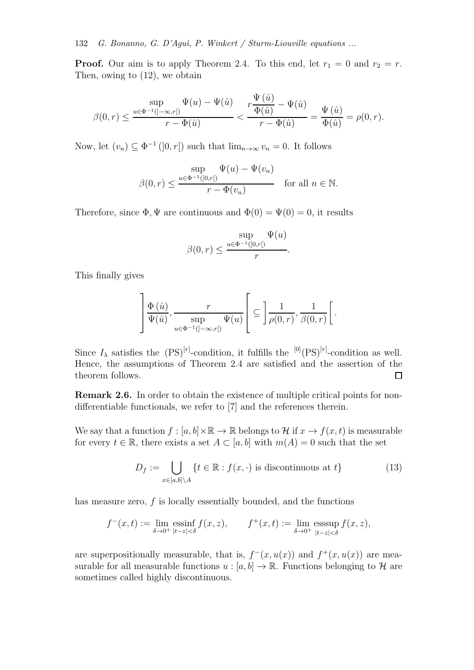**Proof.** Our aim is to apply Theorem 2.4. To this end, let  $r_1 = 0$  and  $r_2 = r$ . Then, owing to (12), we obtain

$$
\beta(0,r)\leq \frac{\displaystyle\sup_{u\in \Phi^{-1}(]-\infty,r[)}\Psi(u)-\Psi(\hat{u})}{r-\Phi(\hat{u})}<\frac{r\displaystyle\frac{\Psi\left(\hat{u}\right)}{\Phi(\hat{u})}-\Psi(\hat{u})}{r-\Phi(\hat{u})}=\frac{\Psi\left(\hat{u}\right)}{\Phi(\hat{u})}=\rho(0,r).
$$

Now, let  $(v_n) \subseteq \Phi^{-1}(]0, r[)$  such that  $\lim_{n \to \infty} v_n = 0$ . It follows

$$
\beta(0,r) \le \frac{\sup}{r - \Phi(v_n)} \frac{\Psi(u) - \Psi(v_n)}{r - \Phi(v_n)} \quad \text{for all } n \in \mathbb{N}.
$$

Therefore, since  $\Phi$ ,  $\Psi$  are continuous and  $\Phi(0) = \Psi(0) = 0$ , it results

$$
\beta(0,r) \le \frac{\sup}{r} \frac{\Psi(u)}{r}.
$$

This finally gives

$$
\left] \frac{\Phi\left(\hat{u}\right)}{\Psi\left(\hat{u}\right)}, \frac{r}{\sup\limits_{u \in \Phi^{-1}(]-\infty, r[)} \Psi(u)} \left[ \subseteq \frac{1}{\rho(0, r)}, \frac{1}{\beta(0, r)} \right[ .
$$

Since  $I_\lambda$  satisfies the  $(PS)^{[r]}$ -condition, it fulfills the  $[0]$  $(PS)^{[r]}$ -condition as well. Hence, the assumptions of Theorem 2.4 are satisfied and the assertion of the theorem follows.  $\Box$ 

Remark 2.6. In order to obtain the existence of multiple critical points for nondifferentiable functionals, we refer to [7] and the references therein.

We say that a function  $f : [a, b] \times \mathbb{R} \to \mathbb{R}$  belongs to H if  $x \to f(x, t)$  is measurable for every  $t \in \mathbb{R}$ , there exists a set  $A \subset [a, b]$  with  $m(A) = 0$  such that the set

$$
D_f := \bigcup_{x \in [a,b] \setminus A} \{ t \in \mathbb{R} : f(x, \cdot) \text{ is discontinuous at } t \}
$$
(13)

has measure zero,  $f$  is locally essentially bounded, and the functions

$$
f^-(x,t) := \lim_{\delta \to 0^+} \operatorname{essinf}_{|t-z| < \delta} f(x,z), \qquad f^+(x,t) := \lim_{\delta \to 0^+} \operatorname{esssup}_{|t-z| < \delta} f(x,z),
$$

are superpositionally measurable, that is,  $f^-(x, u(x))$  and  $f^+(x, u(x))$  are measurable for all measurable functions  $u : [a, b] \to \mathbb{R}$ . Functions belonging to H are sometimes called highly discontinuous.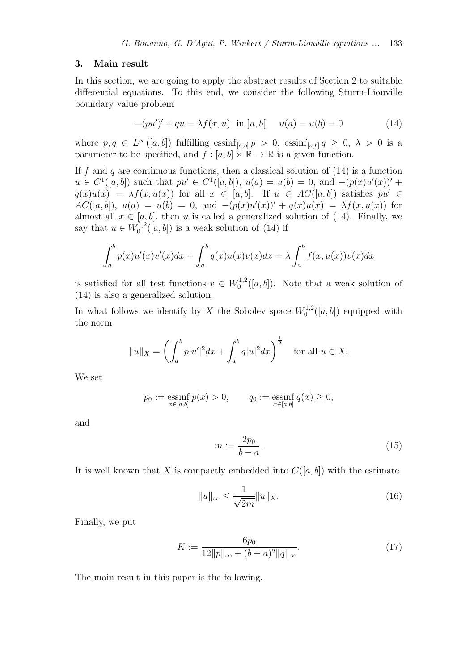#### 3. Main result

In this section, we are going to apply the abstract results of Section 2 to suitable differential equations. To this end, we consider the following Sturm-Liouville boundary value problem

$$
-(pu')' + qu = \lambda f(x, u) \text{ in } ]a, b[, \quad u(a) = u(b) = 0 \tag{14}
$$

where  $p, q \in L^{\infty}([a, b])$  fulfilling  $\operatorname{essinf}_{[a, b]} p > 0$ ,  $\operatorname{essinf}_{[a, b]} q \geq 0$ ,  $\lambda > 0$  is a parameter to be specified, and  $f : [a, b] \times \mathbb{R} \to \mathbb{R}$  is a given function.

If f and q are continuous functions, then a classical solution of  $(14)$  is a function  $u \in C^1([a, b])$  such that  $pu' \in C^1([a, b]), u(a) = u(b) = 0, \text{ and } -(p(x)u'(x))' +$  $q(x)u(x) = \lambda f(x, u(x))$  for all  $x \in [a, b]$ . If  $u \in AC([a, b])$  satisfies  $pu' \in$  $AC([a, b]), u(a) = u(b) = 0, \text{ and } -(p(x)u'(x))' + q(x)u(x) = \lambda f(x, u(x))$  for almost all  $x \in [a, b]$ , then u is called a generalized solution of (14). Finally, we say that  $u \in W_0^{1,2}$  $\binom{1}{0}$  ([a, b]) is a weak solution of (14) if

$$
\int_a^b p(x)u'(x)v'(x)dx + \int_a^b q(x)u(x)v(x)dx = \lambda \int_a^b f(x,u(x))v(x)dx
$$

is satisfied for all test functions  $v \in W_0^{1,2}$  $\binom{1}{0}$ <sup>1,2</sup>([a, b]). Note that a weak solution of (14) is also a generalized solution.

In what follows we identify by X the Sobolev space  $W_0^{1,2}$  $\binom{1,2}{0}$  ([a, b]) equipped with the norm

$$
||u||_X = \left(\int_a^b p|u'|^2 dx + \int_a^b q|u|^2 dx\right)^{\frac{1}{2}}
$$
 for all  $u \in X$ .

We set

$$
p_0 := \underset{x \in [a,b]}{\text{essinf}} p(x) > 0, \qquad q_0 := \underset{x \in [a,b]}{\text{essinf}} q(x) \ge 0,
$$

and

$$
m := \frac{2p_0}{b-a}.\tag{15}
$$

It is well known that X is compactly embedded into  $C([a, b])$  with the estimate

$$
||u||_{\infty} \le \frac{1}{\sqrt{2m}} ||u||_X. \tag{16}
$$

Finally, we put

$$
K := \frac{6p_0}{12||p||_{\infty} + (b-a)^2||q||_{\infty}}.
$$
\n(17)

The main result in this paper is the following.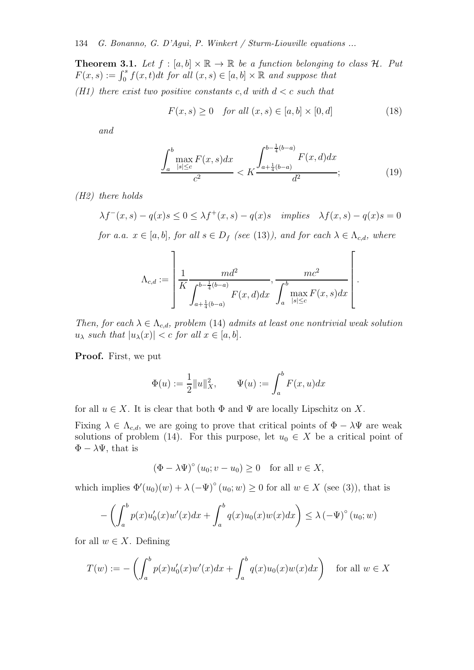**Theorem 3.1.** Let  $f : [a, b] \times \mathbb{R} \to \mathbb{R}$  be a function belonging to class  $H$ . Put  $F(x, s) := \int_0^s f(x, t)dt$  for all  $(x, s) \in [a, b] \times \mathbb{R}$  and suppose that

(H1) there exist two positive constants c, d with  $d < c$  such that

$$
F(x,s) \ge 0 \quad \text{for all } (x,s) \in [a,b] \times [0,d] \tag{18}
$$

and

$$
\frac{\int_{a}^{b} \max_{|s| \leq c} F(x, s) dx}{c^{2}} < K \frac{\int_{a + \frac{1}{4}(b - a)}^{b - \frac{1}{4}(b - a)} F(x, d) dx}{d^{2}}; \tag{19}
$$

.

(H2) there holds

$$
\lambda f^-(x,s) - q(x)s \le 0 \le \lambda f^+(x,s) - q(x)s \quad implies \quad \lambda f(x,s) - q(x)s = 0
$$

for a.a.  $x \in [a, b]$ , for all  $s \in D_f$  (see (13)), and for each  $\lambda \in \Lambda_{c,d}$ , where

$$
\Lambda_{c,d} := \left[ \frac{1}{K} \frac{md^2}{\int_{a+\frac{1}{4}(b-a)}^{b-\frac{1}{4}(b-a)} F(x,d)dx}, \frac{mc^2}{\int_a^b \max_{|s| \le c} F(x,s)dx} \right[
$$

Then, for each  $\lambda \in \Lambda_{c,d}$ , problem (14) admits at least one nontrivial weak solution  $u_{\lambda}$  such that  $|u_{\lambda}(x)| < c$  for all  $x \in [a, b]$ .

Proof. First, we put

$$
\Phi(u) := \frac{1}{2} ||u||_X^2, \qquad \Psi(u) := \int_a^b F(x, u) dx
$$

for all  $u \in X$ . It is clear that both  $\Phi$  and  $\Psi$  are locally Lipschitz on X.

Fixing  $\lambda \in \Lambda_{c,d}$ , we are going to prove that critical points of  $\Phi - \lambda \Psi$  are weak solutions of problem (14). For this purpose, let  $u_0 \in X$  be a critical point of  $\Phi - \lambda \Psi$ , that is

$$
(\Phi - \lambda \Psi)^{\circ} (u_0; v - u_0) \ge 0 \quad \text{for all } v \in X,
$$

which implies  $\Phi'(u_0)(w) + \lambda (-\Psi)^{\circ}(u_0; w) \ge 0$  for all  $w \in X$  (see (3)), that is

$$
-\left(\int_a^b p(x)u_0'(x)w'(x)dx + \int_a^b q(x)u_0(x)w(x)dx\right) \le \lambda \left(-\Psi\right)^{\circ}(u_0; w)
$$

for all  $w \in X$ . Defining

$$
T(w) := -\left(\int_a^b p(x)u'_0(x)w'(x)dx + \int_a^b q(x)u_0(x)w(x)dx\right) \quad \text{for all } w \in X
$$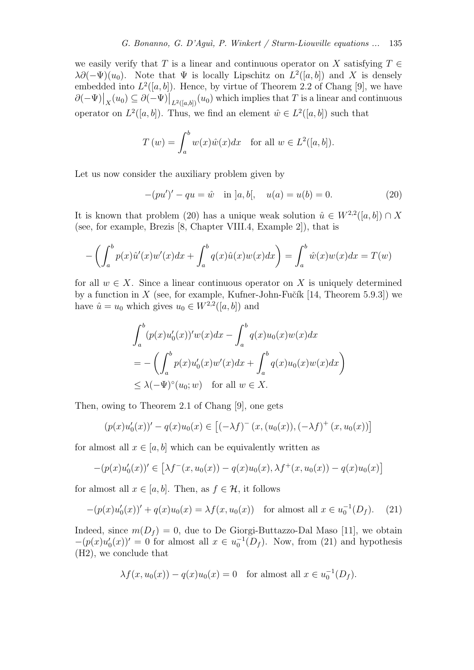we easily verify that T is a linear and continuous operator on X satisfying  $T \in$  $\lambda \partial (-\Psi)(u_0)$ . Note that  $\Psi$  is locally Lipschitz on  $L^2([a, b])$  and X is densely embedded into  $L^2([a, b])$ . Hence, by virtue of Theorem 2.2 of Chang [9], we have  $\partial(-\Psi)\big|_X(u_0) \subseteq \partial(-\Psi)\big|_{L^2([a,b])}(u_0)$  which implies that T is a linear and continuous operator on  $L^2([a, b])$ . Thus, we find an element  $\hat{w} \in L^2([a, b])$  such that

$$
T(w) = \int_a^b w(x)\hat{w}(x)dx \quad \text{for all } w \in L^2([a, b]).
$$

Let us now consider the auxiliary problem given by

$$
-(pu')' - qu = \hat{w} \quad \text{in } ]a, b[, \quad u(a) = u(b) = 0. \tag{20}
$$

It is known that problem (20) has a unique weak solution  $\hat{u} \in W^{2,2}([a, b]) \cap X$ (see, for example, Brezis [8, Chapter VIII.4, Example 2]), that is

$$
-\left(\int_a^b p(x)\hat{u}'(x)w'(x)dx + \int_a^b q(x)\hat{u}(x)w(x)dx\right) = \int_a^b \hat{w}(x)w(x)dx = T(w)
$$

for all  $w \in X$ . Since a linear continuous operator on X is uniquely determined by a function in  $X$  (see, for example, Kufner-John-Fučík [14, Theorem 5.9.3]) we have  $\hat{u} = u_0$  which gives  $u_0 \in W^{2,2}([a, b])$  and

$$
\int_a^b (p(x)u'_0(x))'w(x)dx - \int_a^b q(x)u_0(x)w(x)dx
$$
  
= 
$$
- \left( \int_a^b p(x)u'_0(x)w'(x)dx + \int_a^b q(x)u_0(x)w(x)dx \right)
$$
  

$$
\leq \lambda (-\Psi)^{\circ}(u_0; w) \text{ for all } w \in X.
$$

Then, owing to Theorem 2.1 of Chang [9], one gets

$$
(p(x)u_0'(x))' - q(x)u_0(x) \in [(-\lambda f)^{-}(x,(u_0(x)),(-\lambda f)^{+}(x,u_0(x))]
$$

for almost all  $x \in [a, b]$  which can be equivalently written as

$$
-(p(x)u'_0(x))' \in \left[\lambda f^-(x, u_0(x)) - q(x)u_0(x), \lambda f^+(x, u_0(x)) - q(x)u_0(x)\right]
$$

for almost all  $x \in [a, b]$ . Then, as  $f \in \mathcal{H}$ , it follows

$$
-(p(x)u_0'(x))' + q(x)u_0(x) = \lambda f(x, u_0(x)) \text{ for almost all } x \in u_0^{-1}(D_f).
$$
 (21)

Indeed, since  $m(D_f) = 0$ , due to De Giorgi-Buttazzo-Dal Maso [11], we obtain  $-(p(x)u_0'(x))' = 0$  for almost all  $x \in u_0^{-1}(D_f)$ . Now, from (21) and hypothesis (H2), we conclude that

$$
\lambda f(x, u_0(x)) - q(x)u_0(x) = 0 \quad \text{for almost all } x \in u_0^{-1}(D_f).
$$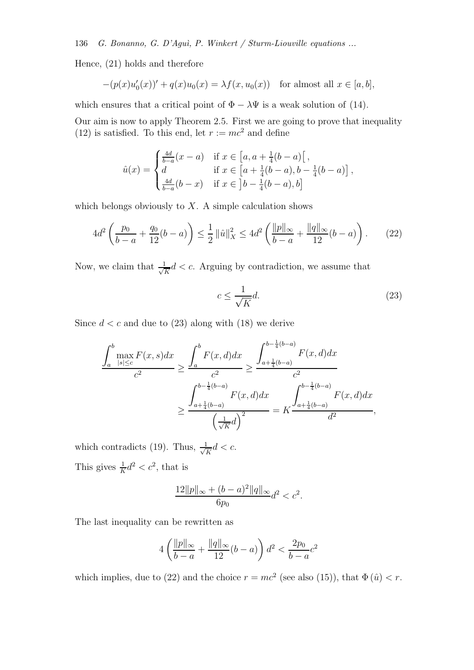136 G. Bonanno, G. D'Aguì, P. Winkert / Sturm-Liouville equations ...

Hence, (21) holds and therefore

$$
-(p(x)u'_0(x))' + q(x)u_0(x) = \lambda f(x, u_0(x)) \text{ for almost all } x \in [a, b],
$$

which ensures that a critical point of  $\Phi - \lambda \Psi$  is a weak solution of (14).

Our aim is now to apply Theorem 2.5. First we are going to prove that inequality (12) is satisfied. To this end, let  $r := mc^2$  and define

$$
\hat{u}(x) = \begin{cases}\n\frac{4d}{b-a}(x-a) & \text{if } x \in [a, a + \frac{1}{4}(b-a) \, [\,,\\
d & \text{if } x \in [a + \frac{1}{4}(b-a), b - \frac{1}{4}(b-a)]\,,\\
\frac{4d}{b-a}(b-x) & \text{if } x \in \, ]b - \frac{1}{4}(b-a), b]\n\end{cases}
$$

which belongs obviously to  $X$ . A simple calculation shows

$$
4d^2 \left( \frac{p_0}{b-a} + \frac{q_0}{12} (b-a) \right) \le \frac{1}{2} ||\hat{u}||_X^2 \le 4d^2 \left( \frac{||p||_{\infty}}{b-a} + \frac{||q||_{\infty}}{12} (b-a) \right).
$$
 (22)

Now, we claim that  $\frac{1}{\sqrt{2}}$  $\frac{1}{\overline{K}}d < c$ . Arguing by contradiction, we assume that

$$
c \le \frac{1}{\sqrt{K}}d.\tag{23}
$$

Since  $d < c$  and due to (23) along with (18) we derive

$$
\frac{\int_{a}^{b} \max_{|s| \leq c} F(x, s) dx}{c^{2}} \geq \frac{\int_{a}^{b} F(x, d) dx}{c^{2}} \geq \frac{\int_{a + \frac{1}{4}(b - a)}^{b - \frac{1}{4}(b - a)} F(x, d) dx}{c^{2}}
$$

$$
\geq \frac{\int_{a + \frac{1}{4}(b - a)}^{b - \frac{1}{4}(b - a)} F(x, d) dx}{\left(\frac{1}{\sqrt{K}} d\right)^{2}} = K \frac{\int_{a + \frac{1}{4}(b - a)}^{b - \frac{1}{4}(b - a)} F(x, d) dx}{d^{2}},
$$

which contradicts (19). Thus,  $\frac{1}{\sqrt{2}}$  $\frac{1}{K}d < c.$ This gives  $\frac{1}{K}d^2 < c^2$ , that is

$$
\frac{12\|p\|_{\infty} + (b-a)^2 \|q\|_{\infty}}{c} d^2 < c^2.
$$

 $6p<sub>0</sub>$ 

The last inequality can be rewritten as

$$
4\left(\frac{\|p\|_{\infty}}{b-a} + \frac{\|q\|_{\infty}}{12}(b-a)\right)d^2 < \frac{2p_0}{b-a}c^2
$$

which implies, due to (22) and the choice  $r = mc^2$  (see also (15)), that  $\Phi(\hat{u}) < r$ .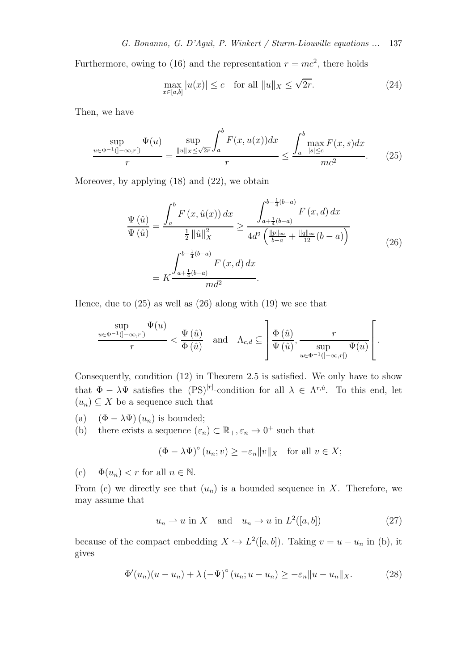Furthermore, owing to (16) and the representation  $r = mc^2$ , there holds

$$
\max_{x \in [a,b]} |u(x)| \le c \quad \text{for all } ||u||_X \le \sqrt{2r}.\tag{24}
$$

Then, we have

$$
\frac{\sup}{u \in \Phi^{-1}(|-\infty, r|)} \frac{\Psi(u)}{r} = \frac{\sup}{\|u\|_{X} \le \sqrt{2r}} \int_{a}^{b} F(x, u(x)) dx \le \frac{\int_{a}^{b} \max_{|s| \le c} F(x, s) dx}{mc^{2}}.
$$
 (25)

Moreover, by applying (18) and (22), we obtain

$$
\frac{\Psi\left(\hat{u}\right)}{\Psi\left(\hat{u}\right)} = \frac{\int_{a}^{b} F\left(x, \hat{u}(x)\right) dx}{\frac{1}{2} \left\|\hat{u}\right\|_{X}^{2}} \ge \frac{\int_{a + \frac{1}{4}(b-a)}^{b - \frac{1}{4}(b-a)} F\left(x, d\right) dx}{4d^{2} \left(\frac{\|p\|_{\infty}}{b-a} + \frac{\|q\|_{\infty}}{12}(b-a)\right)}
$$
\n
$$
= K \frac{\int_{a + \frac{1}{4}(b-a)}^{b - \frac{1}{4}(b-a)} F\left(x, d\right) dx}{m d^{2}}.
$$
\n(26)

Hence, due to  $(25)$  as well as  $(26)$  along with  $(19)$  we see that

$$
\frac{\sup}{r} \frac{\Psi(u)}{r} < \frac{\Psi(\hat{u})}{\Phi(\hat{u})} \quad \text{and} \quad \Lambda_{c,d} \subseteq \left[ \frac{\Phi(\hat{u})}{\Psi(\hat{u})}, \frac{r}{\sup} \frac{\Psi(u)}{\sup} \frac{\Psi(u)}{\Psi(u)} \right].
$$

Consequently, condition (12) in Theorem 2.5 is satisfied. We only have to show that  $\Phi - \lambda \Psi$  satisfies the  $(PS)^{[r]}$ -condition for all  $\lambda \in \Lambda^{r,\hat{u}}$ . To this end, let  $(u_n) \subseteq X$  be a sequence such that

- (a)  $(\Phi \lambda \Psi)(u_n)$  is bounded;<br>(b) there exists a sequence  $(\varepsilon_n)$
- (b) there exists a sequence  $(\varepsilon_n) \subset \mathbb{R}_+, \varepsilon_n \to 0^+$  such that

$$
(\Phi - \lambda \Psi)^{\circ} (u_n; v) \ge -\varepsilon_n \|v\|_X \quad \text{for all } v \in X;
$$

(c)  $\Phi(u_n) < r$  for all  $n \in \mathbb{N}$ .

From (c) we directly see that  $(u_n)$  is a bounded sequence in X. Therefore, we may assume that

$$
u_n \rightharpoonup u \text{ in } X \quad \text{and} \quad u_n \to u \text{ in } L^2([a, b]) \tag{27}
$$

because of the compact embedding  $X \hookrightarrow L^2([a, b])$ . Taking  $v = u - u_n$  in (b), it gives

$$
\Phi'(u_n)(u - u_n) + \lambda \left(-\Psi\right)^{\circ}(u_n; u - u_n) \geq -\varepsilon_n \|u - u_n\|_X. \tag{28}
$$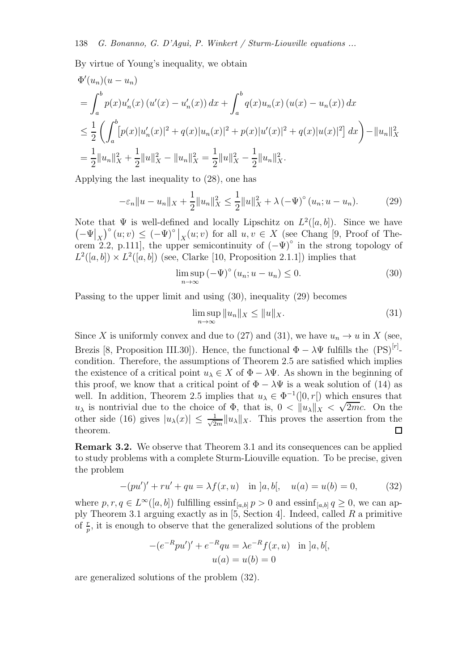By virtue of Young's inequality, we obtain

$$
\Phi'(u_n)(u - u_n)
$$
\n
$$
= \int_a^b p(x)u'_n(x) (u'(x) - u'_n(x)) dx + \int_a^b q(x)u_n(x) (u(x) - u_n(x)) dx
$$
\n
$$
\leq \frac{1}{2} \left( \int_a^b [p(x)|u'_n(x)|^2 + q(x)|u_n(x)|^2 + p(x)|u'(x)|^2 + q(x)|u(x)|^2 \right) dx \right) - ||u_n||_X^2
$$
\n
$$
= \frac{1}{2} ||u_n||_X^2 + \frac{1}{2} ||u||_X^2 - ||u_n||_X^2 = \frac{1}{2} ||u||_X^2 - \frac{1}{2} ||u_n||_X^2.
$$

Applying the last inequality to (28), one has

$$
-\varepsilon_n \|u - u_n\|_X + \frac{1}{2} \|u_n\|_X^2 \le \frac{1}{2} \|u\|_X^2 + \lambda \left(-\Psi\right)^\circ (u_n; u - u_n). \tag{29}
$$

Note that  $\Psi$  is well-defined and locally Lipschitz on  $L^2([a, b])$ . Since we have  $\left(-\Psi\big|_X\right)^{\circ}(u;v) \leq (-\Psi)^{\circ}\big|_X(u;v)$  for all  $u, v \in X$  (see Chang [9, Proof of Theorem 2.2, p.111], the upper semicontinuity of  $(-\Psi)^{\circ}$  in the strong topology of  $L^2([a, b]) \times L^2([a, b])$  (see, Clarke [10, Proposition 2.1.1]) implies that

$$
\limsup_{n \to \infty} \left(-\Psi\right)^{\circ} \left(u_n; u - u_n\right) \le 0. \tag{30}
$$

Passing to the upper limit and using (30), inequality (29) becomes

$$
\limsup_{n \to \infty} \|u_n\|_X \le \|u\|_X. \tag{31}
$$

Since X is uniformly convex and due to (27) and (31), we have  $u_n \to u$  in X (see, Brezis [8, Proposition III.30]). Hence, the functional  $\Phi - \lambda \Psi$  fulfills the  $(PS)^{[r]}$ condition. Therefore, the assumptions of Theorem 2.5 are satisfied which implies the existence of a critical point  $u_{\lambda} \in X$  of  $\Phi - \lambda \Psi$ . As shown in the beginning of this proof, we know that a critical point of  $\Phi - \lambda \Psi$  is a weak solution of (14) as well. In addition, Theorem 2.5 implies that  $u_{\lambda} \in \Phi^{-1}(]0, r[)$  which ensures that  $u_{\lambda}$  is nontrivial due to the choice of  $\Phi$ , that is,  $0 < ||u_{\lambda}||_X < \sqrt{2mc}$ . On the other side (16) gives  $|u_\lambda(x)| \leq \frac{1}{\sqrt{2}}$  $\frac{1}{2m}||u_\lambda||_X$ . This proves the assertion from the theorem.

Remark 3.2. We observe that Theorem 3.1 and its consequences can be applied to study problems with a complete Sturm-Liouville equation. To be precise, given the problem

$$
-(pu')' + ru' + qu = \lambda f(x, u) \quad \text{in } ]a, b[, \quad u(a) = u(b) = 0,\tag{32}
$$

where  $p, r, q \in L^{\infty}([a, b])$  fulfilling  $\operatorname{essinf}_{[a, b]} p > 0$  and  $\operatorname{essinf}_{[a, b]} q \geq 0$ , we can apply Theorem 3.1 arguing exactly as in [5, Section 4]. Indeed, called R a primitive of  $\frac{r}{p}$ , it is enough to observe that the generalized solutions of the problem

$$
-(e^{-R}pu')' + e^{-R}qu = \lambda e^{-R}f(x, u) \text{ in } ]a, b[,
$$
  

$$
u(a) = u(b) = 0
$$

are generalized solutions of the problem (32).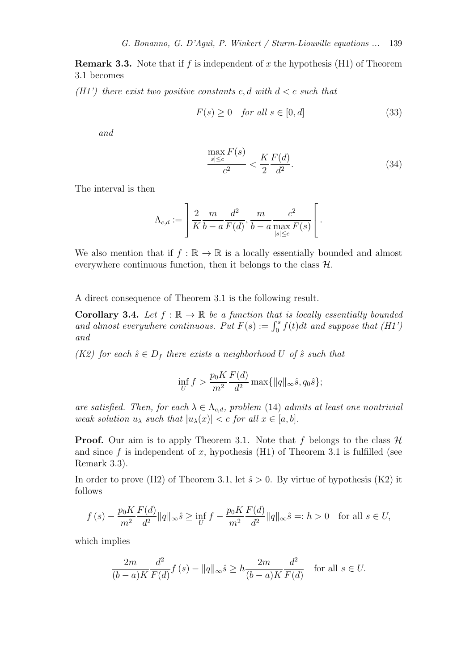**Remark 3.3.** Note that if f is independent of x the hypothesis (H1) of Theorem 3.1 becomes

(H1') there exist two positive constants c, d with  $d < c$  such that

$$
F(s) \ge 0 \quad \text{for all } s \in [0, d] \tag{33}
$$

and

$$
\frac{\max_{|s| \le c} F(s)}{c^2} < \frac{K}{2} \frac{F(d)}{d^2}.\tag{34}
$$

The interval is then

$$
\Lambda_{c,d} := \left[ \frac{2}{K} \frac{m}{b-a} \frac{d^2}{F(d)}, \frac{m}{b-a} \frac{c^2}{\max\limits_{|s| \le c} F(s)} \right].
$$

We also mention that if  $f : \mathbb{R} \to \mathbb{R}$  is a locally essentially bounded and almost everywhere continuous function, then it belongs to the class  $H$ .

A direct consequence of Theorem 3.1 is the following result.

**Corollary 3.4.** Let  $f : \mathbb{R} \to \mathbb{R}$  be a function that is locally essentially bounded and almost everywhere continuous. Put  $F(s) := \int_0^s f(t)dt$  and suppose that (H1') and

(K2) for each  $\hat{s} \in D_f$  there exists a neighborhood U of  $\hat{s}$  such that

$$
\inf_{U} f > \frac{p_0 K}{m^2} \frac{F(d)}{d^2} \max\{||q||_{\infty} \hat{s}, q_0 \hat{s}\};
$$

are satisfied. Then, for each  $\lambda \in \Lambda_{c,d}$ , problem (14) admits at least one nontrivial weak solution  $u_{\lambda}$  such that  $|u_{\lambda}(x)| < c$  for all  $x \in [a, b]$ .

**Proof.** Our aim is to apply Theorem 3.1. Note that f belongs to the class  $\mathcal{H}$ and since f is independent of x, hypothesis  $(H1)$  of Theorem 3.1 is fulfilled (see Remark 3.3).

In order to prove (H2) of Theorem 3.1, let  $\hat{s} > 0$ . By virtue of hypothesis (K2) it follows

$$
f(s) - \frac{p_0 K}{m^2} \frac{F(d)}{d^2} \|q\|_{\infty} \hat{s} \ge \inf_{U} f - \frac{p_0 K}{m^2} \frac{F(d)}{d^2} \|q\|_{\infty} \hat{s} =: h > 0 \quad \text{for all } s \in U,
$$

which implies

$$
\frac{2m}{(b-a)K} \frac{d^2}{F(d)} f(s) - \|q\|_{\infty} \hat{s} \ge h \frac{2m}{(b-a)K} \frac{d^2}{F(d)} \quad \text{for all } s \in U.
$$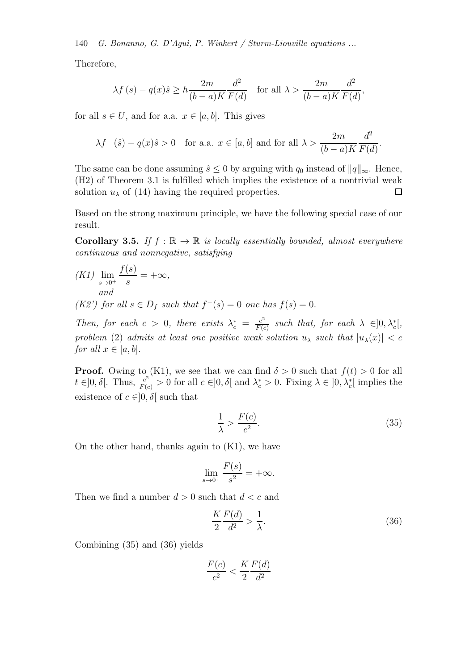140 G. Bonanno, G. D'Aquì, P. Winkert / Sturm-Liouville equations ...

Therefore,

$$
\lambda f(s) - q(x)\hat{s} \ge h \frac{2m}{(b-a)K} \frac{d^2}{F(d)} \quad \text{for all } \lambda > \frac{2m}{(b-a)K} \frac{d^2}{F(d)},
$$

for all  $s \in U$ , and for a.a.  $x \in [a, b]$ . This gives

$$
\lambda f^{-}(\hat{s}) - q(x)\hat{s} > 0
$$
 for a.a.  $x \in [a, b]$  and for all  $\lambda > \frac{2m}{(b-a)K} \frac{d^2}{F(d)}$ .

The same can be done assuming  $\hat{s} \leq 0$  by arguing with  $q_0$  instead of  $||q||_{\infty}$ . Hence, (H2) of Theorem 3.1 is fulfilled which implies the existence of a nontrivial weak solution  $u_{\lambda}$  of (14) having the required properties.  $\Box$ 

Based on the strong maximum principle, we have the following special case of our result.

**Corollary 3.5.** If  $f : \mathbb{R} \to \mathbb{R}$  is locally essentially bounded, almost everywhere continuous and nonnegative, satisfying

 $(K1)$  lim  $s\rightarrow 0^+$  $f(s)$  $\frac{S}{s} = +\infty$ , and

(K2') for all  $s \in D_f$  such that  $f^-(s) = 0$  one has  $f(s) = 0$ .

Then, for each  $c > 0$ , there exists  $\lambda_c^* = \frac{c^2}{F(c)}$  $\frac{c^2}{F(c)}$  such that, for each  $\lambda \in ]0, \lambda_c^*[,$ problem (2) admits at least one positive weak solution  $u_{\lambda}$  such that  $|u_{\lambda}(x)| < c$ for all  $x \in [a, b]$ .

**Proof.** Owing to (K1), we see that we can find  $\delta > 0$  such that  $f(t) > 0$  for all  $t \in ]0, \delta[$ . Thus,  $\frac{c^2}{F(c)} > 0$  for all  $c \in ]0, \delta[$  and  $\lambda_c^* > 0$ . Fixing  $\lambda \in ]0, \lambda_c^*]$  implies the existence of  $c \in ]0, \delta[$  such that

$$
\frac{1}{\lambda} > \frac{F(c)}{c^2}.\tag{35}
$$

On the other hand, thanks again to (K1), we have

$$
\lim_{s \to 0^+} \frac{F(s)}{s^2} = +\infty.
$$

Then we find a number  $d > 0$  such that  $d < c$  and

$$
\frac{K}{2}\frac{F(d)}{d^2} > \frac{1}{\lambda}.\tag{36}
$$

Combining (35) and (36) yields

$$
\frac{F(c)}{c^2} < \frac{K}{2} \frac{F(d)}{d^2}
$$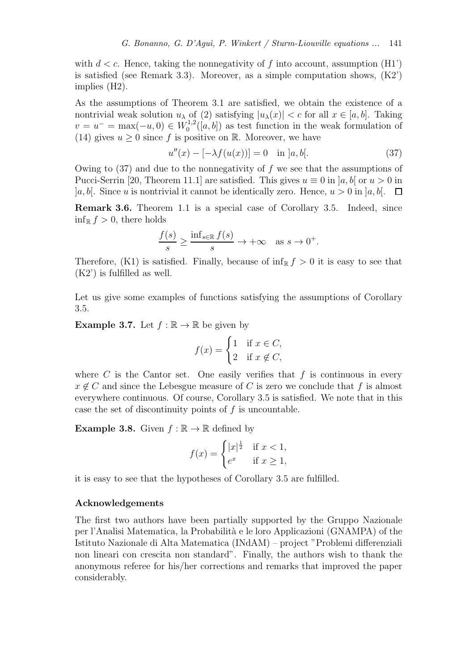with  $d < c$ . Hence, taking the nonnegativity of f into account, assumption (H1') is satisfied (see Remark 3.3). Moreover, as a simple computation shows,  $(K2)$ ) implies (H2).

As the assumptions of Theorem 3.1 are satisfied, we obtain the existence of a nontrivial weak solution  $u_\lambda$  of (2) satisfying  $|u_\lambda(x)| < c$  for all  $x \in [a, b]$ . Taking  $v = u^- = \max(-u, 0) \in W_0^{1,2}$  $\int_0^{1,2}([a, b])$  as test function in the weak formulation of (14) gives  $u \geq 0$  since f is positive on R. Moreover, we have

$$
u''(x) - [-\lambda f(u(x))] = 0 \quad \text{in } ]a, b[.
$$
 (37)

Owing to  $(37)$  and due to the nonnegativity of f we see that the assumptions of Pucci-Serrin [20, Theorem 11.1] are satisfied. This gives  $u \equiv 0$  in [a, b] or  $u > 0$  in  $[a, b]$ . Since u is nontrivial it cannot be identically zero. Hence,  $u > 0$  in  $[a, b]$ .  $\square$ 

Remark 3.6. Theorem 1.1 is a special case of Corollary 3.5. Indeed, since  $\inf_{\mathbb{R}} f > 0$ , there holds

$$
\frac{f(s)}{s} \ge \frac{\inf_{s \in \mathbb{R}} f(s)}{s} \to +\infty \quad \text{as } s \to 0^+.
$$

Therefore, (K1) is satisfied. Finally, because of  $\inf_{\mathbb{R}} f > 0$  it is easy to see that (K2') is fulfilled as well.

Let us give some examples of functions satisfying the assumptions of Corollary 3.5.

**Example 3.7.** Let  $f : \mathbb{R} \to \mathbb{R}$  be given by

$$
f(x) = \begin{cases} 1 & \text{if } x \in C, \\ 2 & \text{if } x \notin C, \end{cases}
$$

where  $C$  is the Cantor set. One easily verifies that  $f$  is continuous in every  $x \notin C$  and since the Lebesgue measure of C is zero we conclude that f is almost everywhere continuous. Of course, Corollary 3.5 is satisfied. We note that in this case the set of discontinuity points of  $f$  is uncountable.

**Example 3.8.** Given  $f : \mathbb{R} \to \mathbb{R}$  defined by

$$
f(x) = \begin{cases} |x|^{\frac{1}{2}} & \text{if } x < 1, \\ e^x & \text{if } x \ge 1, \end{cases}
$$

it is easy to see that the hypotheses of Corollary 3.5 are fulfilled.

## Acknowledgements

The first two authors have been partially supported by the Gruppo Nazionale per l'Analisi Matematica, la Probabilit`a e le loro Applicazioni (GNAMPA) of the Istituto Nazionale di Alta Matematica (INdAM) – project "Problemi differenziali non lineari con crescita non standard". Finally, the authors wish to thank the anonymous referee for his/her corrections and remarks that improved the paper considerably.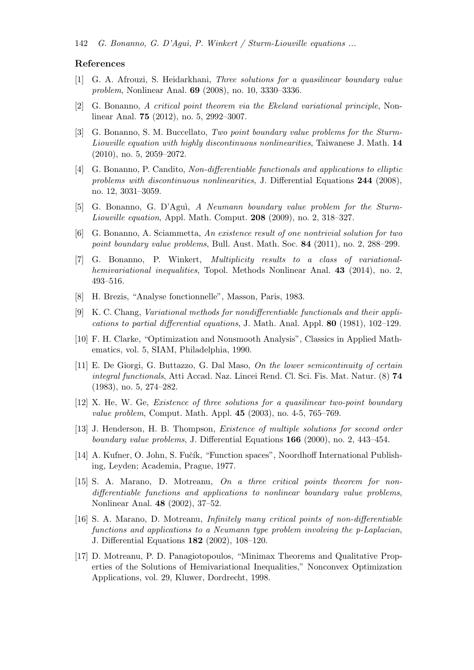#### References

- [1] G. A. Afrouzi, S. Heidarkhani, Three solutions for a quasilinear boundary value problem, Nonlinear Anal. 69 (2008), no. 10, 3330–3336.
- [2] G. Bonanno, A critical point theorem via the Ekeland variational principle, Nonlinear Anal. 75 (2012), no. 5, 2992–3007.
- [3] G. Bonanno, S. M. Buccellato, Two point boundary value problems for the Sturm-Liouville equation with highly discontinuous nonlinearities, Taiwanese J. Math. 14 (2010), no. 5, 2059–2072.
- [4] G. Bonanno, P. Candito, Non-differentiable functionals and applications to elliptic problems with discontinuous nonlinearities, J. Differential Equations 244 (2008), no. 12, 3031–3059.
- [5] G. Bonanno, G. D'Aguì, A Neumann boundary value problem for the Sturm-Liouville equation, Appl. Math. Comput. 208 (2009), no. 2, 318–327.
- [6] G. Bonanno, A. Sciammetta, An existence result of one nontrivial solution for two point boundary value problems, Bull. Aust. Math. Soc. 84 (2011), no. 2, 288–299.
- [7] G. Bonanno, P. Winkert, Multiplicity results to a class of variationalhemivariational inequalities, Topol. Methods Nonlinear Anal. 43 (2014), no. 2, 493–516.
- [8] H. Brezis, "Analyse fonctionnelle", Masson, Paris, 1983.
- [9] K. C. Chang, Variational methods for nondifferentiable functionals and their applications to partial differential equations, J. Math. Anal. Appl. 80 (1981), 102–129.
- [10] F. H. Clarke, "Optimization and Nonsmooth Analysis", Classics in Applied Mathematics, vol. 5, SIAM, Philadelphia, 1990.
- [11] E. De Giorgi, G. Buttazzo, G. Dal Maso, On the lower semicontinuity of certain integral functionals, Atti Accad. Naz. Lincei Rend. Cl. Sci. Fis. Mat. Natur. (8) 74 (1983), no. 5, 274–282.
- [12] X. He, W. Ge, Existence of three solutions for a quasilinear two-point boundary value problem, Comput. Math. Appl. 45 (2003), no. 4-5, 765–769.
- [13] J. Henderson, H. B. Thompson, Existence of multiple solutions for second order boundary value problems, J. Differential Equations 166 (2000), no. 2, 443–454.
- [14] A. Kufner, O. John, S. Fučík, "Function spaces", Noordhoff International Publishing, Leyden; Academia, Prague, 1977.
- [15] S. A. Marano, D. Motreanu, On a three critical points theorem for nondifferentiable functions and applications to nonlinear boundary value problems, Nonlinear Anal. 48 (2002), 37–52.
- [16] S. A. Marano, D. Motreanu, *Infinitely many critical points of non-differentiable* functions and applications to a Neumann type problem involving the p-Laplacian, J. Differential Equations 182 (2002), 108–120.
- [17] D. Motreanu, P. D. Panagiotopoulos, "Minimax Theorems and Qualitative Properties of the Solutions of Hemivariational Inequalities," Nonconvex Optimization Applications, vol. 29, Kluwer, Dordrecht, 1998.